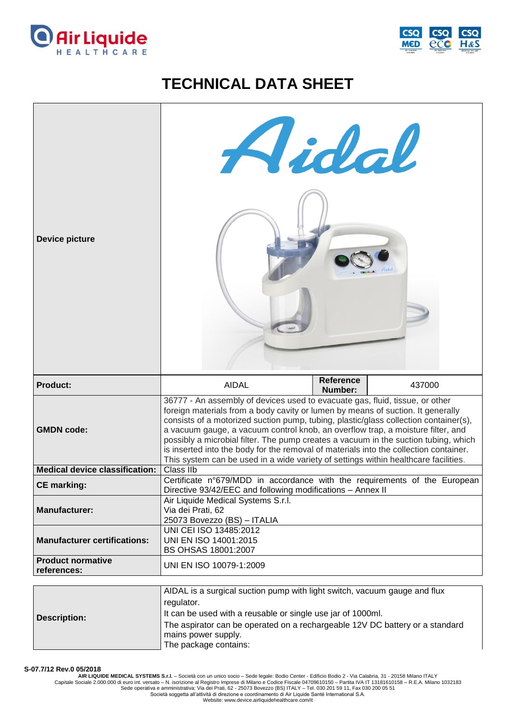



## **TECHNICAL DATA SHEET**



It can be used with a reusable or single use jar of 1000ml.

The aspirator can be operated on a rechargeable 12V DC battery or a standard mains power supply.

The package contains:

**S-07.7/12 Rev.0 05/2018**

**Description:**

**AIR LIQUIDE MEDICAL SYSTEMS S.r.l.** – Società con un unico socio – Sede legale: Bodio Center - Edificio Bodio 2 - Via Calabria, 31 - 20158 Milano ITALY Capitale Sociale 2.000.000 di euro int. versato – N. iscrizione al Registro Imprese di Milano e Codice Fiscale 04709610150 – Partita IVA IT 13181610158 – R.E.A. Milano 1032183<br>Sede operativa e amministrativa: Via dei Prati

Società soggetta all'attività di direzione e coordinamento di Air Liquide Santé International S.A. Website: www.device.airliquidehealthcare.com/it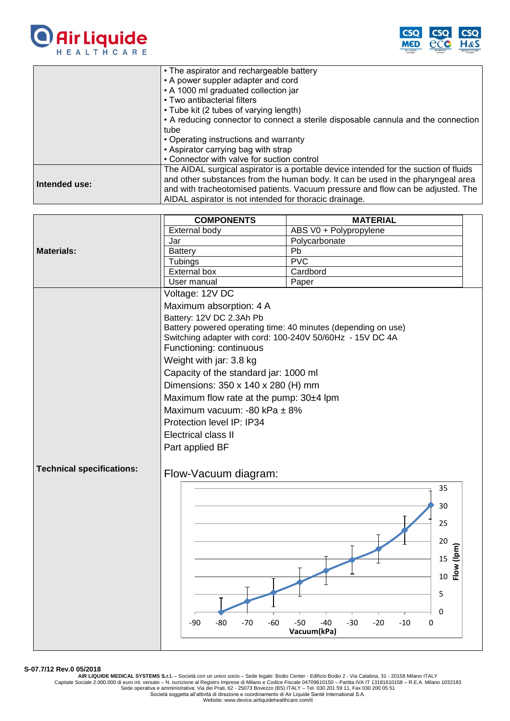



|               | • The aspirator and rechargeable battery                                             |
|---------------|--------------------------------------------------------------------------------------|
|               | • A power suppler adapter and cord                                                   |
|               | • A 1000 ml graduated collection jar                                                 |
|               | • Two antibacterial filters                                                          |
|               | • Tube kit (2 tubes of varying length)                                               |
|               | • A reducing connector to connect a sterile disposable cannula and the connection    |
|               | tube                                                                                 |
|               | • Operating instructions and warranty                                                |
|               | • Aspirator carrying bag with strap                                                  |
|               | • Connector with valve for suction control                                           |
|               | The AIDAL surgical aspirator is a portable device intended for the suction of fluids |
| Intended use: | and other substances from the human body. It can be used in the pharyngeal area      |
|               | and with tracheotomised patients. Vacuum pressure and flow can be adjusted. The      |
|               | AIDAL aspirator is not intended for thoracic drainage.                               |

|                                  | <b>COMPONENTS</b>                                                                                                          | <b>MATERIAL</b>                              |  |
|----------------------------------|----------------------------------------------------------------------------------------------------------------------------|----------------------------------------------|--|
|                                  | <b>External body</b>                                                                                                       | ABS V0 + Polypropylene                       |  |
|                                  | Jar                                                                                                                        | Polycarbonate                                |  |
| <b>Materials:</b>                | <b>Battery</b>                                                                                                             | Pb                                           |  |
|                                  | Tubings                                                                                                                    | PVC                                          |  |
|                                  | External box                                                                                                               | Cardbord                                     |  |
|                                  | User manual                                                                                                                | Paper                                        |  |
|                                  | Voltage: 12V DC                                                                                                            |                                              |  |
|                                  | Maximum absorption: 4 A                                                                                                    |                                              |  |
|                                  | Battery: 12V DC 2.3Ah Pb                                                                                                   |                                              |  |
|                                  |                                                                                                                            |                                              |  |
|                                  | Battery powered operating time: 40 minutes (depending on use)<br>Switching adapter with cord: 100-240V 50/60Hz - 15V DC 4A |                                              |  |
|                                  | Functioning: continuous                                                                                                    |                                              |  |
|                                  | Weight with jar: 3.8 kg                                                                                                    |                                              |  |
|                                  | Capacity of the standard jar: 1000 ml                                                                                      |                                              |  |
|                                  | Dimensions: 350 x 140 x 280 (H) mm                                                                                         |                                              |  |
|                                  | Maximum flow rate at the pump: 30±4 lpm                                                                                    |                                              |  |
|                                  | Maximum vacuum: -80 kPa ± 8%                                                                                               |                                              |  |
|                                  |                                                                                                                            |                                              |  |
|                                  | Protection level IP: IP34                                                                                                  |                                              |  |
|                                  | <b>Electrical class II</b>                                                                                                 |                                              |  |
|                                  | Part applied BF                                                                                                            |                                              |  |
|                                  |                                                                                                                            |                                              |  |
| <b>Technical specifications:</b> | Flow-Vacuum diagram:                                                                                                       |                                              |  |
|                                  |                                                                                                                            | 35                                           |  |
|                                  |                                                                                                                            |                                              |  |
|                                  |                                                                                                                            | 30                                           |  |
|                                  |                                                                                                                            | 25                                           |  |
|                                  |                                                                                                                            |                                              |  |
|                                  |                                                                                                                            | 20                                           |  |
|                                  |                                                                                                                            | 15                                           |  |
|                                  |                                                                                                                            | Flow (lpm)                                   |  |
|                                  |                                                                                                                            | 10                                           |  |
|                                  |                                                                                                                            | 5                                            |  |
|                                  |                                                                                                                            |                                              |  |
|                                  |                                                                                                                            | $\Omega$                                     |  |
|                                  | $-70$<br>$-60$<br>-90<br>-80                                                                                               | $-50$<br>-40<br>$-30$<br>$-20$<br>$-10$<br>0 |  |
|                                  |                                                                                                                            | Vacuum(kPa)                                  |  |
|                                  |                                                                                                                            |                                              |  |

**S-07.7/12 Rev.0 05/2018**

AIR LIQUIDE MEDICAL SYSTEMS S.r.I. – Società con un unico socio – Sede legale: Bodio Center - Edificio Bodio 2 - Via Calabria, 31 - 20158 Milano ITALY<br>Capitale Sociale 2.000.000 di euro int. versato – N. iscrizione al Regi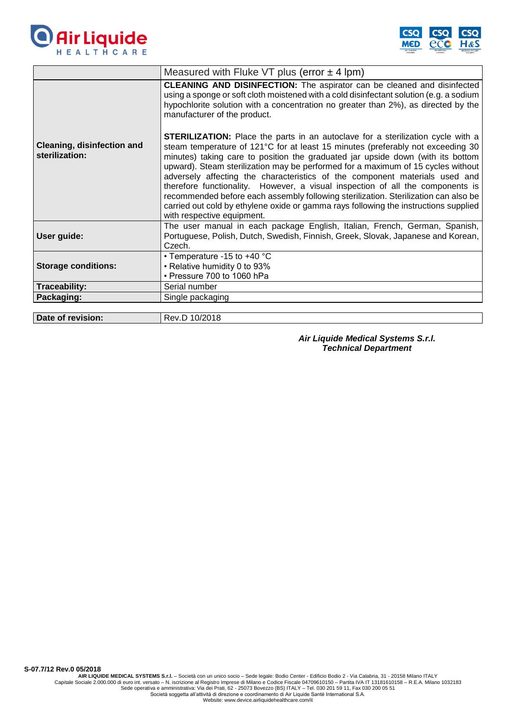



| Measured with Fluke VT plus (error $\pm$ 4 lpm)                                                                                                                                                                                                                                                                                                                                                                                                                                                                                                                                                                                                                                                                                |
|--------------------------------------------------------------------------------------------------------------------------------------------------------------------------------------------------------------------------------------------------------------------------------------------------------------------------------------------------------------------------------------------------------------------------------------------------------------------------------------------------------------------------------------------------------------------------------------------------------------------------------------------------------------------------------------------------------------------------------|
| <b>CLEANING AND DISINFECTION:</b> The aspirator can be cleaned and disinfected<br>using a sponge or soft cloth moistened with a cold disinfectant solution (e.g. a sodium<br>hypochlorite solution with a concentration no greater than 2%), as directed by the<br>manufacturer of the product.                                                                                                                                                                                                                                                                                                                                                                                                                                |
| <b>STERILIZATION:</b> Place the parts in an autoclave for a sterilization cycle with a<br>steam temperature of 121°C for at least 15 minutes (preferably not exceeding 30<br>minutes) taking care to position the graduated jar upside down (with its bottom<br>upward). Steam sterilization may be performed for a maximum of 15 cycles without<br>adversely affecting the characteristics of the component materials used and<br>therefore functionality. However, a visual inspection of all the components is<br>recommended before each assembly following sterilization. Sterilization can also be<br>carried out cold by ethylene oxide or gamma rays following the instructions supplied<br>with respective equipment. |
| The user manual in each package English, Italian, French, German, Spanish,<br>Portuguese, Polish, Dutch, Swedish, Finnish, Greek, Slovak, Japanese and Korean,<br>Czech.                                                                                                                                                                                                                                                                                                                                                                                                                                                                                                                                                       |
| • Temperature -15 to +40 °C<br>• Relative humidity 0 to 93%<br>• Pressure 700 to 1060 hPa                                                                                                                                                                                                                                                                                                                                                                                                                                                                                                                                                                                                                                      |
| Serial number                                                                                                                                                                                                                                                                                                                                                                                                                                                                                                                                                                                                                                                                                                                  |
| Single packaging                                                                                                                                                                                                                                                                                                                                                                                                                                                                                                                                                                                                                                                                                                               |
|                                                                                                                                                                                                                                                                                                                                                                                                                                                                                                                                                                                                                                                                                                                                |

**Date of revision:** Rev.D 10/2018

*Air Liquide Medical Systems S.r.l. Technical Department*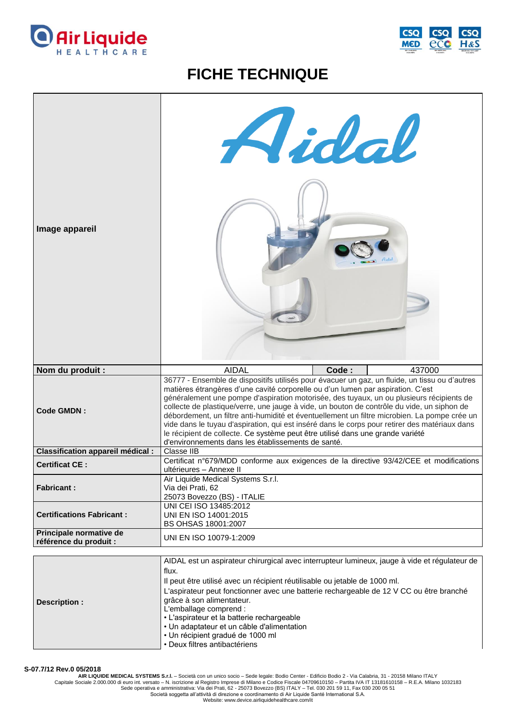



## **FICHE TECHNIQUE**

| Image appareil                                    | Aidal                                                                                                                                                                                                                                                                                                                                                                                                                                                                                                                                                                                                                                                                                                               |  |
|---------------------------------------------------|---------------------------------------------------------------------------------------------------------------------------------------------------------------------------------------------------------------------------------------------------------------------------------------------------------------------------------------------------------------------------------------------------------------------------------------------------------------------------------------------------------------------------------------------------------------------------------------------------------------------------------------------------------------------------------------------------------------------|--|
| Nom du produit :                                  | <b>AIDAL</b><br>Code:<br>437000                                                                                                                                                                                                                                                                                                                                                                                                                                                                                                                                                                                                                                                                                     |  |
| <b>Code GMDN:</b>                                 | 36777 - Ensemble de dispositifs utilisés pour évacuer un gaz, un fluide, un tissu ou d'autres<br>matières étrangères d'une cavité corporelle ou d'un lumen par aspiration. C'est<br>généralement une pompe d'aspiration motorisée, des tuyaux, un ou plusieurs récipients de<br>collecte de plastique/verre, une jauge à vide, un bouton de contrôle du vide, un siphon de<br>débordement, un filtre anti-humidité et éventuellement un filtre microbien. La pompe crée un<br>vide dans le tuyau d'aspiration, qui est inséré dans le corps pour retirer des matériaux dans<br>le récipient de collecte. Ce système peut être utilisé dans une grande variété<br>d'environnements dans les établissements de santé. |  |
| <b>Classification appareil médical :</b>          | Classe IIB                                                                                                                                                                                                                                                                                                                                                                                                                                                                                                                                                                                                                                                                                                          |  |
| <b>Certificat CE:</b>                             | Certificat n°679/MDD conforme aux exigences de la directive 93/42/CEE et modifications<br>ultérieures - Annexe II                                                                                                                                                                                                                                                                                                                                                                                                                                                                                                                                                                                                   |  |
| <b>Fabricant:</b>                                 | Air Liquide Medical Systems S.r.l.<br>Via dei Prati, 62<br>25073 Bovezzo (BS) - ITALIE                                                                                                                                                                                                                                                                                                                                                                                                                                                                                                                                                                                                                              |  |
| <b>Certifications Fabricant:</b>                  | UNI CEI ISO 13485:2012<br>UNI EN ISO 14001:2015<br>BS OHSAS 18001:2007                                                                                                                                                                                                                                                                                                                                                                                                                                                                                                                                                                                                                                              |  |
| Principale normative de<br>référence du produit : | UNI EN ISO 10079-1:2009                                                                                                                                                                                                                                                                                                                                                                                                                                                                                                                                                                                                                                                                                             |  |
|                                                   |                                                                                                                                                                                                                                                                                                                                                                                                                                                                                                                                                                                                                                                                                                                     |  |
|                                                   | AIDAL est un aspirateur chirurgical avec interrupteur lumineux, jauge à vide et régulateur de<br>flux.                                                                                                                                                                                                                                                                                                                                                                                                                                                                                                                                                                                                              |  |
|                                                   | Il peut être utilisé avec un récipient réutilisable ou jetable de 1000 ml.                                                                                                                                                                                                                                                                                                                                                                                                                                                                                                                                                                                                                                          |  |

|                      | Il peut être utilisé avec un récipient réutilisable ou jetable de 1000 ml.              |
|----------------------|-----------------------------------------------------------------------------------------|
| <b>Description :</b> | L'aspirateur peut fonctionner avec une batterie rechargeable de 12 V CC ou être branché |
|                      | grâce à son alimentateur.                                                               |
|                      | L'emballage comprend :                                                                  |
|                      | • L'aspirateur et la batterie rechargeable                                              |
|                      | • Un adaptateur et un câble d'alimentation                                              |
|                      | • Un récipient gradué de 1000 ml                                                        |
|                      | • Deux filtres antibactériens                                                           |

**S-07.7/12 Rev.0 05/2018**

AIR LIQUIDE MEDICAL SYSTEMS S.r.I. – Società con un unico socio – Sede legale: Bodio Center - Edificio Bodio 2 - Via Calabria, 31 - 20158 Milano ITALY<br>Capitale Sociale 2.000.000 di euro int. versato – N. iscrizione al Regi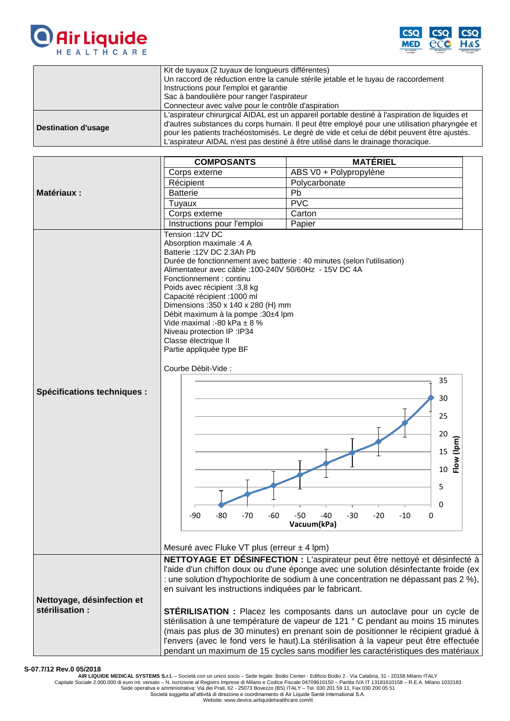



|                     | Kit de tuyaux (2 tuyaux de longueurs différentes)                                             |
|---------------------|-----------------------------------------------------------------------------------------------|
|                     | Un raccord de réduction entre la canule stérile jetable et le tuyau de raccordement           |
|                     | Instructions pour l'emploi et garantie                                                        |
|                     | Sac à bandoulière pour ranger l'aspirateur                                                    |
|                     | Connecteur avec valve pour le contrôle d'aspiration                                           |
| Destination d'usage | L'aspirateur chirurgical AIDAL est un appareil portable destiné à l'aspiration de liquides et |
|                     | d'autres substances du corps humain. Il peut être employé pour une utilisation pharyngée et   |
|                     | pour les patients trachéostomisés. Le degré de vide et celui de débit peuvent être ajustés.   |
|                     | L'aspirateur AIDAL n'est pas destiné à être utilisé dans le drainage thoracique.              |

| Corps externe                                                                                                                                                                                                                                                                                                                                                                                                                                                                                                                                                                                                             | ABS V0 + Polypropylène                                                                                                                                                                                                                                                                                                                                                                                                                                                                                                                                                                                        |
|---------------------------------------------------------------------------------------------------------------------------------------------------------------------------------------------------------------------------------------------------------------------------------------------------------------------------------------------------------------------------------------------------------------------------------------------------------------------------------------------------------------------------------------------------------------------------------------------------------------------------|---------------------------------------------------------------------------------------------------------------------------------------------------------------------------------------------------------------------------------------------------------------------------------------------------------------------------------------------------------------------------------------------------------------------------------------------------------------------------------------------------------------------------------------------------------------------------------------------------------------|
|                                                                                                                                                                                                                                                                                                                                                                                                                                                                                                                                                                                                                           |                                                                                                                                                                                                                                                                                                                                                                                                                                                                                                                                                                                                               |
| Récipient                                                                                                                                                                                                                                                                                                                                                                                                                                                                                                                                                                                                                 | Polycarbonate                                                                                                                                                                                                                                                                                                                                                                                                                                                                                                                                                                                                 |
| <b>Batterie</b>                                                                                                                                                                                                                                                                                                                                                                                                                                                                                                                                                                                                           | Pb                                                                                                                                                                                                                                                                                                                                                                                                                                                                                                                                                                                                            |
|                                                                                                                                                                                                                                                                                                                                                                                                                                                                                                                                                                                                                           | PVC                                                                                                                                                                                                                                                                                                                                                                                                                                                                                                                                                                                                           |
|                                                                                                                                                                                                                                                                                                                                                                                                                                                                                                                                                                                                                           | Carton                                                                                                                                                                                                                                                                                                                                                                                                                                                                                                                                                                                                        |
|                                                                                                                                                                                                                                                                                                                                                                                                                                                                                                                                                                                                                           | Papier                                                                                                                                                                                                                                                                                                                                                                                                                                                                                                                                                                                                        |
| Tension : 12V DC<br>Absorption maximale :4 A<br>Batterie: 12V DC 2.3Ah Pb<br>Durée de fonctionnement avec batterie : 40 minutes (selon l'utilisation)<br>Alimentateur avec câble : 100-240V 50/60Hz - 15V DC 4A<br>Fonctionnement : continu<br>Poids avec récipient :3,8 kg<br>Capacité récipient : 1000 ml<br>Dimensions: 350 x 140 x 280 (H) mm<br>Débit maximum à la pompe : 30±4 lpm<br>Vide maximal :-80 kPa $\pm$ 8 %<br>Niveau protection IP : IP34<br>Classe électrique II<br>Partie appliquée type BF<br>Courbe Débit-Vide :<br>$-90$<br>-80<br>$-70$<br>$-60$<br>Mesuré avec Fluke VT plus (erreur $\pm$ 4 lpm) | 35<br>30<br>25<br>20<br>Flow (lpm)<br>15<br>10<br>5<br>0<br>$-50$<br>-40<br>$-30$<br>$-20$<br>$-10$<br>0<br>Vacuum(kPa)                                                                                                                                                                                                                                                                                                                                                                                                                                                                                       |
| en suivant les instructions indiquées par le fabricant.                                                                                                                                                                                                                                                                                                                                                                                                                                                                                                                                                                   | NETTOYAGE ET DÉSINFECTION : L'aspirateur peut être nettoyé et désinfecté à<br>l'aide d'un chiffon doux ou d'une éponge avec une solution désinfectante froide (ex<br>: une solution d'hypochlorite de sodium à une concentration ne dépassant pas 2 %),<br><b>STÉRILISATION</b> : Placez les composants dans un autoclave pour un cycle de<br>stérilisation à une température de vapeur de 121 ° C pendant au moins 15 minutes<br>(mais pas plus de 30 minutes) en prenant soin de positionner le récipient gradué à<br>l'envers (avec le fond vers le haut).La stérilisation à la vapeur peut être effectuée |
|                                                                                                                                                                                                                                                                                                                                                                                                                                                                                                                                                                                                                           | Tuyaux<br>Corps externe<br>Instructions pour l'emploi<br>pendant un maximum de 15 cycles sans modifier les caractéristiques des matériaux                                                                                                                                                                                                                                                                                                                                                                                                                                                                     |

## **S-07.7/12 Rev.0 05/2018**

AIR LIQUIDE MEDICAL SYSTEMS S.r.I. – Società con un unico socio – Sede legale: Bodio Center - Edificio Bodio 2 - Via Calabria, 31 - 20158 Milano ITALY<br>Capitale Sociale 2.000.000 di euro int. versato – N. iscrizione al Regi